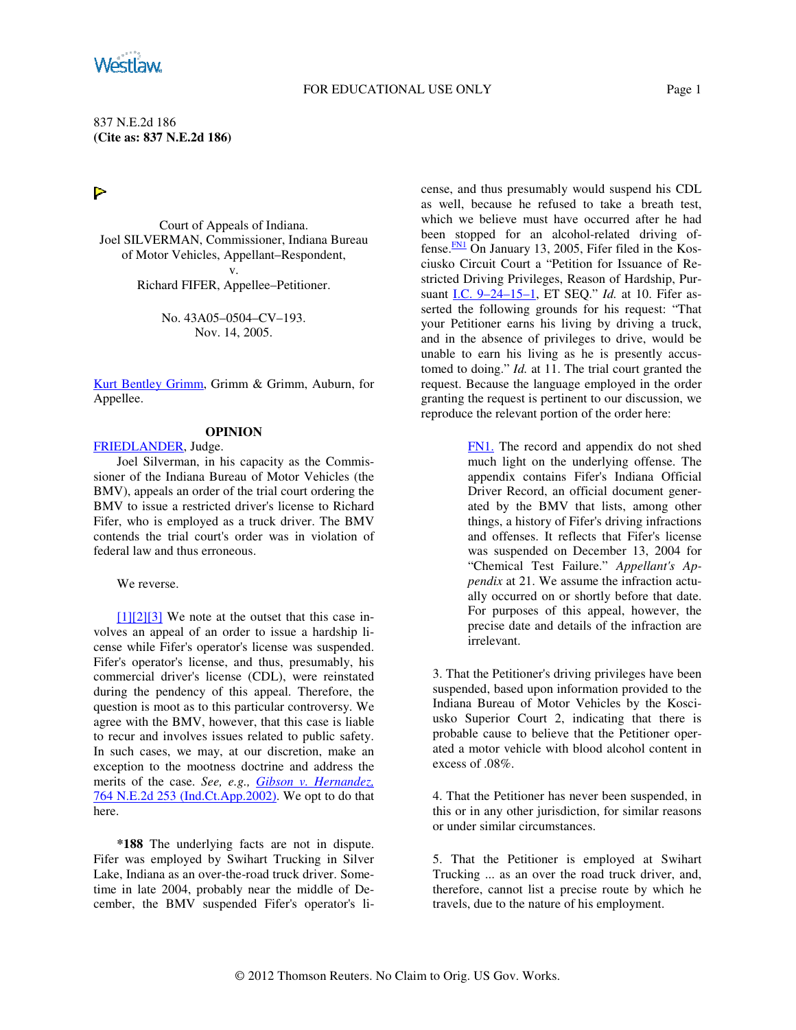### FOR EDUCATIONAL USE ONLY Page 1

837 N.E.2d 186 **(Cite as: 837 N.E.2d 186)**

# $\triangleright$

Court of Appeals of Indiana. Joel SILVERMAN, Commissioner, Indiana Bureau of Motor Vehicles, Appellant–Respondent, v.

Richard FIFER, Appellee–Petitioner.

No. 43A05–0504–CV–193. Nov. 14, 2005.

Kurt Bentley Grimm, Grimm & Grimm, Auburn, for Appellee.

#### **OPINION**

FRIEDLANDER, Judge.

Joel Silverman, in his capacity as the Commissioner of the Indiana Bureau of Motor Vehicles (the BMV), appeals an order of the trial court ordering the BMV to issue a restricted driver's license to Richard Fifer, who is employed as a truck driver. The BMV contends the trial court's order was in violation of federal law and thus erroneous.

We reverse.

 $[1][2][3]$  We note at the outset that this case involves an appeal of an order to issue a hardship license while Fifer's operator's license was suspended. Fifer's operator's license, and thus, presumably, his commercial driver's license (CDL), were reinstated during the pendency of this appeal. Therefore, the question is moot as to this particular controversy. We agree with the BMV, however, that this case is liable to recur and involves issues related to public safety. In such cases, we may, at our discretion, make an exception to the mootness doctrine and address the merits of the case. *See, e.g., Gibson v. Hernandez,* 764 N.E.2d 253 (Ind.Ct.App.2002). We opt to do that here.

**\*188** The underlying facts are not in dispute. Fifer was employed by Swihart Trucking in Silver Lake, Indiana as an over-the-road truck driver. Sometime in late 2004, probably near the middle of December, the BMV suspended Fifer's operator's license, and thus presumably would suspend his CDL as well, because he refused to take a breath test, which we believe must have occurred after he had been stopped for an alcohol-related driving offense.<sup>FN1</sup> On January 13, 2005, Fifer filed in the Kosciusko Circuit Court a "Petition for Issuance of Restricted Driving Privileges, Reason of Hardship, Pursuant I.C. 9–24–15–1, ET SEQ." *Id.* at 10. Fifer asserted the following grounds for his request: "That your Petitioner earns his living by driving a truck, and in the absence of privileges to drive, would be unable to earn his living as he is presently accustomed to doing." *Id.* at 11. The trial court granted the request. Because the language employed in the order granting the request is pertinent to our discussion, we reproduce the relevant portion of the order here:

> FN1. The record and appendix do not shed much light on the underlying offense. The appendix contains Fifer's Indiana Official Driver Record, an official document generated by the BMV that lists, among other things, a history of Fifer's driving infractions and offenses. It reflects that Fifer's license was suspended on December 13, 2004 for "Chemical Test Failure." *Appellant's Appendix* at 21. We assume the infraction actually occurred on or shortly before that date. For purposes of this appeal, however, the precise date and details of the infraction are irrelevant.

3. That the Petitioner's driving privileges have been suspended, based upon information provided to the Indiana Bureau of Motor Vehicles by the Kosciusko Superior Court 2, indicating that there is probable cause to believe that the Petitioner operated a motor vehicle with blood alcohol content in excess of .08%.

4. That the Petitioner has never been suspended, in this or in any other jurisdiction, for similar reasons or under similar circumstances.

5. That the Petitioner is employed at Swihart Trucking ... as an over the road truck driver, and, therefore, cannot list a precise route by which he travels, due to the nature of his employment.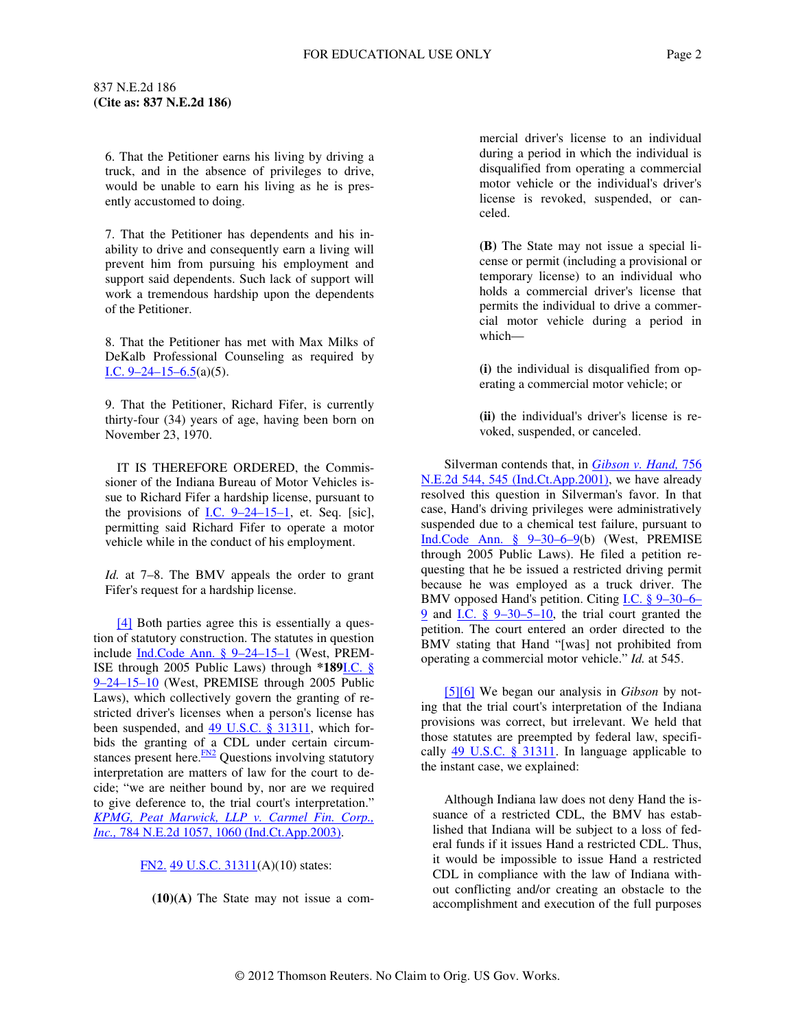6. That the Petitioner earns his living by driving a truck, and in the absence of privileges to drive, would be unable to earn his living as he is presently accustomed to doing.

7. That the Petitioner has dependents and his inability to drive and consequently earn a living will prevent him from pursuing his employment and support said dependents. Such lack of support will work a tremendous hardship upon the dependents of the Petitioner.

8. That the Petitioner has met with Max Milks of DeKalb Professional Counseling as required by I.C.  $9-24-15-6.5(a)(5)$ .

9. That the Petitioner, Richard Fifer, is currently thirty-four (34) years of age, having been born on November 23, 1970.

IT IS THEREFORE ORDERED, the Commissioner of the Indiana Bureau of Motor Vehicles issue to Richard Fifer a hardship license, pursuant to the provisions of  $I.C. 9-24-15-1$ , et. Seq. [sic], permitting said Richard Fifer to operate a motor vehicle while in the conduct of his employment.

*Id.* at 7–8. The BMV appeals the order to grant Fifer's request for a hardship license.

[4] Both parties agree this is essentially a question of statutory construction. The statutes in question include Ind.Code Ann. § 9–24–15–1 (West, PREM-ISE through 2005 Public Laws) through **\*189**I.C. § 9–24–15–10 (West, PREMISE through 2005 Public Laws), which collectively govern the granting of restricted driver's licenses when a person's license has been suspended, and  $\frac{49 \text{ U.S.C. } §$  31311, which forbids the granting of a CDL under certain circumstances present here. $\frac{FN2}{TN}$  Questions involving statutory interpretation are matters of law for the court to decide; "we are neither bound by, nor are we required to give deference to, the trial court's interpretation." *KPMG, Peat Marwick, LLP v. Carmel Fin. Corp., Inc.,* 784 N.E.2d 1057, 1060 (Ind.Ct.App.2003).

# FN2. 49 U.S.C. 31311(A)(10) states:

**(10)(A)** The State may not issue a com-

mercial driver's license to an individual during a period in which the individual is disqualified from operating a commercial motor vehicle or the individual's driver's license is revoked, suspended, or canceled.

**(B)** The State may not issue a special license or permit (including a provisional or temporary license) to an individual who holds a commercial driver's license that permits the individual to drive a commercial motor vehicle during a period in which—

**(i)** the individual is disqualified from operating a commercial motor vehicle; or

**(ii)** the individual's driver's license is revoked, suspended, or canceled.

Silverman contends that, in *Gibson v. Hand,* 756 N.E.2d 544, 545 (Ind.Ct.App.2001), we have already resolved this question in Silverman's favor. In that case, Hand's driving privileges were administratively suspended due to a chemical test failure, pursuant to Ind.Code Ann. § 9–30–6–9(b) (West, PREMISE through 2005 Public Laws). He filed a petition requesting that he be issued a restricted driving permit because he was employed as a truck driver. The BMV opposed Hand's petition. Citing I.C. § 9–30–6– 9 and I.C. § 9–30–5–10, the trial court granted the petition. The court entered an order directed to the BMV stating that Hand "[was] not prohibited from operating a commercial motor vehicle." *Id.* at 545.

[5][6] We began our analysis in *Gibson* by noting that the trial court's interpretation of the Indiana provisions was correct, but irrelevant. We held that those statutes are preempted by federal law, specifically  $\frac{49 \text{ U.S.C. } }{31311}$ . In language applicable to the instant case, we explained:

Although Indiana law does not deny Hand the issuance of a restricted CDL, the BMV has established that Indiana will be subject to a loss of federal funds if it issues Hand a restricted CDL. Thus, it would be impossible to issue Hand a restricted CDL in compliance with the law of Indiana without conflicting and/or creating an obstacle to the accomplishment and execution of the full purposes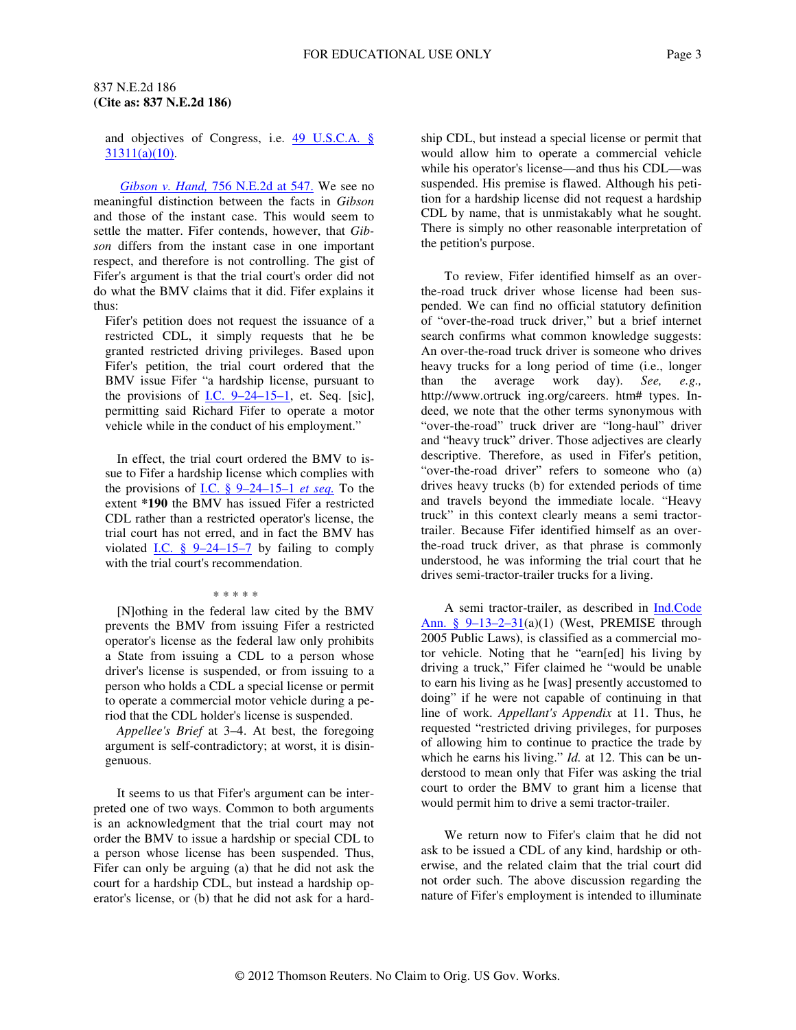and objectives of Congress, i.e. 49 U.S.C.A. § 31311(a)(10).

*Gibson v. Hand,* 756 N.E.2d at 547. We see no meaningful distinction between the facts in *Gibson* and those of the instant case. This would seem to settle the matter. Fifer contends, however, that *Gibson* differs from the instant case in one important respect, and therefore is not controlling. The gist of Fifer's argument is that the trial court's order did not do what the BMV claims that it did. Fifer explains it thus:

Fifer's petition does not request the issuance of a restricted CDL, it simply requests that he be granted restricted driving privileges. Based upon Fifer's petition, the trial court ordered that the BMV issue Fifer "a hardship license, pursuant to the provisions of I.C.  $9-24-15-1$ , et. Seq. [sic], permitting said Richard Fifer to operate a motor vehicle while in the conduct of his employment."

In effect, the trial court ordered the BMV to issue to Fifer a hardship license which complies with the provisions of I.C. § 9–24–15–1 *et seq.* To the extent **\*190** the BMV has issued Fifer a restricted CDL rather than a restricted operator's license, the trial court has not erred, and in fact the BMV has violated I.C.  $\frac{8}{9}$  9–24–15–7 by failing to comply with the trial court's recommendation.

#### \* \* \* \* \*

[N]othing in the federal law cited by the BMV prevents the BMV from issuing Fifer a restricted operator's license as the federal law only prohibits a State from issuing a CDL to a person whose driver's license is suspended, or from issuing to a person who holds a CDL a special license or permit to operate a commercial motor vehicle during a period that the CDL holder's license is suspended.

*Appellee's Brief* at 3–4. At best, the foregoing argument is self-contradictory; at worst, it is disingenuous.

It seems to us that Fifer's argument can be interpreted one of two ways. Common to both arguments is an acknowledgment that the trial court may not order the BMV to issue a hardship or special CDL to a person whose license has been suspended. Thus, Fifer can only be arguing (a) that he did not ask the court for a hardship CDL, but instead a hardship operator's license, or (b) that he did not ask for a hard-

ship CDL, but instead a special license or permit that would allow him to operate a commercial vehicle while his operator's license—and thus his CDL—was suspended. His premise is flawed. Although his petition for a hardship license did not request a hardship CDL by name, that is unmistakably what he sought. There is simply no other reasonable interpretation of the petition's purpose.

To review, Fifer identified himself as an overthe-road truck driver whose license had been suspended. We can find no official statutory definition of "over-the-road truck driver," but a brief internet search confirms what common knowledge suggests: An over-the-road truck driver is someone who drives heavy trucks for a long period of time (i.e., longer than the average work day). *See, e.g.,* http://www.ortruck ing.org/careers. htm# types. Indeed, we note that the other terms synonymous with "over-the-road" truck driver are "long-haul" driver and "heavy truck" driver. Those adjectives are clearly descriptive. Therefore, as used in Fifer's petition, "over-the-road driver" refers to someone who (a) drives heavy trucks (b) for extended periods of time and travels beyond the immediate locale. "Heavy truck" in this context clearly means a semi tractortrailer. Because Fifer identified himself as an overthe-road truck driver, as that phrase is commonly understood, he was informing the trial court that he drives semi-tractor-trailer trucks for a living.

A semi tractor-trailer, as described in **Ind.Code** Ann. § 9-13-2-31(a)(1) (West, PREMISE through 2005 Public Laws), is classified as a commercial motor vehicle. Noting that he "earn[ed] his living by driving a truck," Fifer claimed he "would be unable to earn his living as he [was] presently accustomed to doing" if he were not capable of continuing in that line of work. *Appellant's Appendix* at 11. Thus, he requested "restricted driving privileges, for purposes of allowing him to continue to practice the trade by which he earns his living." *Id.* at 12. This can be understood to mean only that Fifer was asking the trial court to order the BMV to grant him a license that would permit him to drive a semi tractor-trailer.

We return now to Fifer's claim that he did not ask to be issued a CDL of any kind, hardship or otherwise, and the related claim that the trial court did not order such. The above discussion regarding the nature of Fifer's employment is intended to illuminate